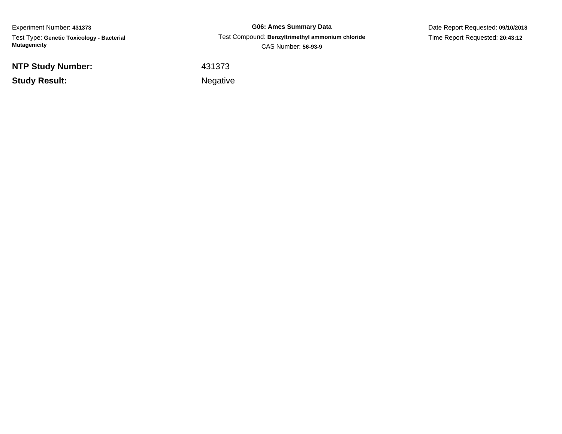Experiment Number: **431373** Test Type: **Genetic Toxicology - Bacterial Mutagenicity**

**G06: Ames Summary Data** Test Compound: **Benzyltrimethyl ammonium chloride**CAS Number: **56-93-9**

Date Report Requested: **09/10/2018**Time Report Requested: **20:43:12**

**NTP Study Number:**

**Study Result:**

<sup>431373</sup>

Negative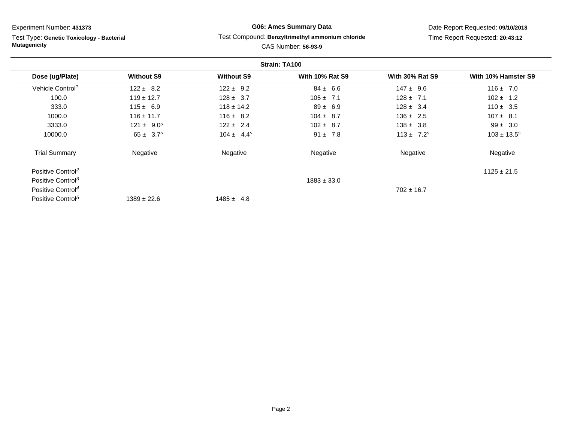Test Type: **Genetic Toxicology - Bacterial Mutagenicity**

# **G06: Ames Summary Data**

### Test Compound: **Benzyltrimethyl ammonium chloride**

Date Report Requested: **09/10/2018**Time Report Requested: **20:43:12**

|                               |                   |                   | Strain: TA100          |                        |                     |
|-------------------------------|-------------------|-------------------|------------------------|------------------------|---------------------|
| Dose (ug/Plate)               | <b>Without S9</b> | <b>Without S9</b> | <b>With 10% Rat S9</b> | <b>With 30% Rat S9</b> | With 10% Hamster S9 |
| Vehicle Control <sup>1</sup>  | $122 \pm 8.2$     | $122 \pm 9.2$     | $84 \pm 6.6$           | $147 \pm 9.6$          | $116 \pm 7.0$       |
| 100.0                         | $119 \pm 12.7$    | $128 \pm 3.7$     | $105 \pm 7.1$          | $128 \pm 7.1$          | $102 \pm 1.2$       |
| 333.0                         | $115 \pm 6.9$     | $118 \pm 14.2$    | $89 \pm 6.9$           | $128 \pm 3.4$          | $110 \pm 3.5$       |
| 1000.0                        | $116 \pm 11.7$    | $116 \pm 8.2$     | $104 \pm 8.7$          | $136 \pm 2.5$          | $107 \pm 8.1$       |
| 3333.0                        | $121 \pm 9.0^s$   | $122 \pm 2.4$     | $102 \pm 8.7$          | $138 \pm 3.8$          | $99 \pm 3.0$        |
| 10000.0                       | $65 \pm 3.7^s$    | $104 \pm 4.4^s$   | $91 \pm 7.8$           | $113 \pm 7.2^s$        | $103 \pm 13.5^s$    |
| <b>Trial Summary</b>          | Negative          | Negative          | Negative               | Negative               | Negative            |
| Positive Control <sup>2</sup> |                   |                   |                        |                        | $1125 \pm 21.5$     |
| Positive Control <sup>3</sup> |                   |                   | $1883 \pm 33.0$        |                        |                     |
| Positive Control <sup>4</sup> |                   |                   |                        | $702 \pm 16.7$         |                     |
| Positive Control <sup>5</sup> | $1389 \pm 22.6$   | $1485 \pm 4.8$    |                        |                        |                     |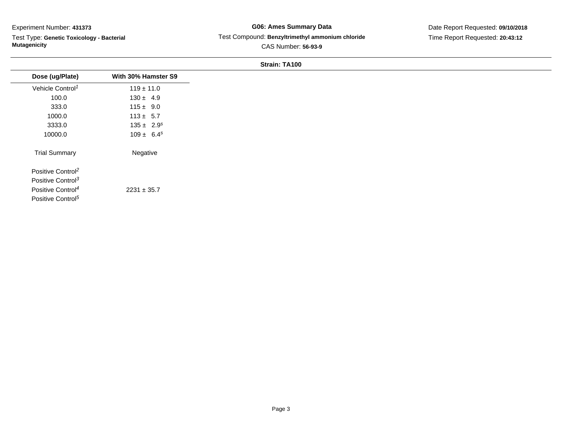Test Type: **Genetic Toxicology - Bacterial Mutagenicity**

## **G06: Ames Summary Data** Test Compound: **Benzyltrimethyl ammonium chloride**CAS Number: **56-93-9**

Date Report Requested: **09/10/2018**Time Report Requested: **20:43:12**

| Dose (ug/Plate)               | With 30% Hamster S9 |
|-------------------------------|---------------------|
| Vehicle Control <sup>1</sup>  | $119 \pm 11.0$      |
| 100.0                         | $130 \pm 4.9$       |
| 333.0                         | $115 \pm 9.0$       |
| 1000.0                        | $113 \pm 5.7$       |
| 3333.0                        | $135 \pm 2.9^s$     |
| 10000.0                       | $109 \pm 6.4^s$     |
| <b>Trial Summary</b>          | Negative            |
| Positive Control <sup>2</sup> |                     |
| Positive Control <sup>3</sup> |                     |
| Positive Control <sup>4</sup> | $2231 \pm 35.7$     |
| Positive Control <sup>5</sup> |                     |
|                               |                     |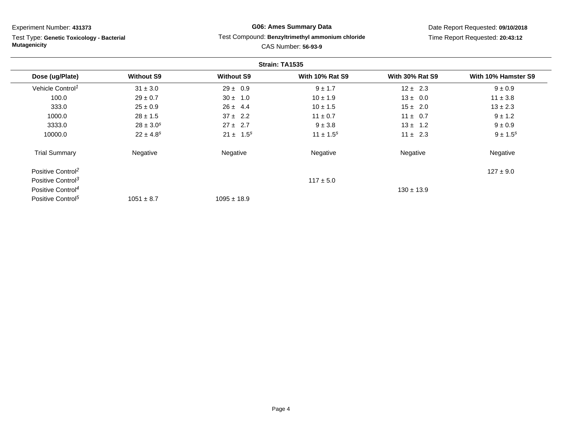Test Type: **Genetic Toxicology - Bacterial Mutagenicity**

# **G06: Ames Summary Data**

### Test Compound: **Benzyltrimethyl ammonium chloride**

Date Report Requested: **09/10/2018**Time Report Requested: **20:43:12**

|                               |                   |                   | Strain: TA1535         |                        |                     |
|-------------------------------|-------------------|-------------------|------------------------|------------------------|---------------------|
| Dose (ug/Plate)               | <b>Without S9</b> | <b>Without S9</b> | <b>With 10% Rat S9</b> | <b>With 30% Rat S9</b> | With 10% Hamster S9 |
| Vehicle Control <sup>1</sup>  | $31 \pm 3.0$      | $29 \pm 0.9$      | $9 \pm 1.7$            | $12 \pm 2.3$           | $9 \pm 0.9$         |
| 100.0                         | $29 \pm 0.7$      | $30 \pm 1.0$      | $10 \pm 1.9$           | $13 \pm 0.0$           | $11 \pm 3.8$        |
| 333.0                         | $25 \pm 0.9$      | $26 \pm 4.4$      | $10 \pm 1.5$           | $15 \pm 2.0$           | $13 \pm 2.3$        |
| 1000.0                        | $28 \pm 1.5$      | $37 \pm 2.2$      | $11 \pm 0.7$           | $11 \pm 0.7$           | $9 \pm 1.2$         |
| 3333.0                        | $28 \pm 3.0^s$    | $27 \pm 2.7$      | $9 \pm 3.8$            | $13 \pm 1.2$           | $9 \pm 0.9$         |
| 10000.0                       | $22 \pm 4.8^s$    | $21 \pm 1.5^s$    | $11 \pm 1.5^s$         | $11 \pm 2.3$           | $9 \pm 1.5^s$       |
| <b>Trial Summary</b>          | Negative          | Negative          | Negative               | Negative               | Negative            |
| Positive Control <sup>2</sup> |                   |                   |                        |                        | $127 \pm 9.0$       |
| Positive Control <sup>3</sup> |                   |                   | $117 \pm 5.0$          |                        |                     |
| Positive Control <sup>4</sup> |                   |                   |                        | $130 \pm 13.9$         |                     |
| Positive Control <sup>5</sup> | $1051 \pm 8.7$    | $1095 \pm 18.9$   |                        |                        |                     |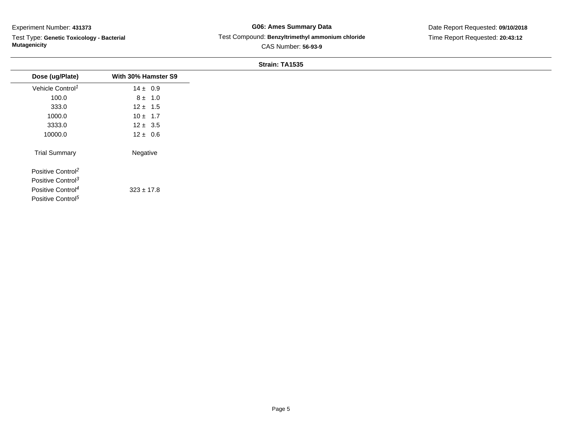Test Type: **Genetic Toxicology - Bacterial Mutagenicity**

## **G06: Ames Summary Data** Test Compound: **Benzyltrimethyl ammonium chloride**CAS Number: **56-93-9**

Date Report Requested: **09/10/2018**Time Report Requested: **20:43:12**

|                               |                     | Strain: TA1535 |
|-------------------------------|---------------------|----------------|
| Dose (ug/Plate)               | With 30% Hamster S9 |                |
| Vehicle Control <sup>1</sup>  | $14 \pm 0.9$        |                |
| 100.0                         | $8 \pm 1.0$         |                |
| 333.0                         | $12 \pm 1.5$        |                |
| 1000.0                        | $10 \pm 1.7$        |                |
| 3333.0                        | $12 \pm 3.5$        |                |
| 10000.0                       | $12 \pm 0.6$        |                |
| <b>Trial Summary</b>          | Negative            |                |
| Positive Control <sup>2</sup> |                     |                |
| Positive Control <sup>3</sup> |                     |                |
| Positive Control <sup>4</sup> | $323 \pm 17.8$      |                |
| Positive Control <sup>5</sup> |                     |                |
|                               |                     |                |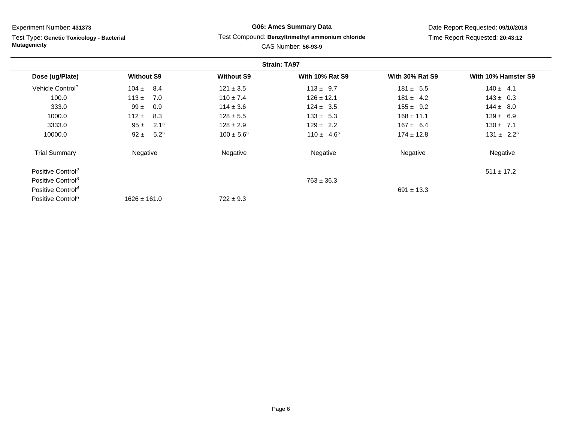Test Type: **Genetic Toxicology - Bacterial Mutagenicity**

# **G06: Ames Summary Data**

### Test Compound: **Benzyltrimethyl ammonium chloride**

Date Report Requested: **09/10/2018**Time Report Requested: **20:43:12**

| <b>Strain: TA97</b>           |                              |                   |                        |                        |                     |  |
|-------------------------------|------------------------------|-------------------|------------------------|------------------------|---------------------|--|
| Dose (ug/Plate)               | <b>Without S9</b>            | <b>Without S9</b> | <b>With 10% Rat S9</b> | <b>With 30% Rat S9</b> | With 10% Hamster S9 |  |
| Vehicle Control <sup>1</sup>  | $104 \pm 8.4$                | $121 \pm 3.5$     | $113 \pm 9.7$          | $181 \pm 5.5$          | $140 \pm 4.1$       |  |
| 100.0                         | $113 \pm 7.0$                | $110 \pm 7.4$     | $126 \pm 12.1$         | $181 \pm 4.2$          | $143 \pm 0.3$       |  |
| 333.0                         | 0.9<br>$99 \pm$              | $114 \pm 3.6$     | $124 \pm 3.5$          | $155 \pm 9.2$          | $144 \pm 8.0$       |  |
| 1000.0                        | $112 \pm 8.3$                | $128 \pm 5.5$     | $133 \pm 5.3$          | $168 \pm 11.1$         | $139 \pm 6.9$       |  |
| 3333.0                        | $95 \pm 2.1^s$               | $128 \pm 2.9$     | $129 \pm 2.2$          | $167 \pm 6.4$          | $130 \pm 7.1$       |  |
| 10000.0                       | 5.2 <sup>s</sup><br>$92 \pm$ | $100 \pm 5.6^s$   | $110 \pm 4.6^s$        | $174 \pm 12.8$         | $131 \pm 2.2^s$     |  |
| <b>Trial Summary</b>          | Negative                     | Negative          | Negative               | Negative               | Negative            |  |
| Positive Control <sup>2</sup> |                              |                   |                        |                        | $511 \pm 17.2$      |  |
| Positive Control <sup>3</sup> |                              |                   | $763 \pm 36.3$         |                        |                     |  |
| Positive Control <sup>4</sup> |                              |                   |                        | $691 \pm 13.3$         |                     |  |
| Positive Control <sup>6</sup> | $1626 \pm 161.0$             | $722 \pm 9.3$     |                        |                        |                     |  |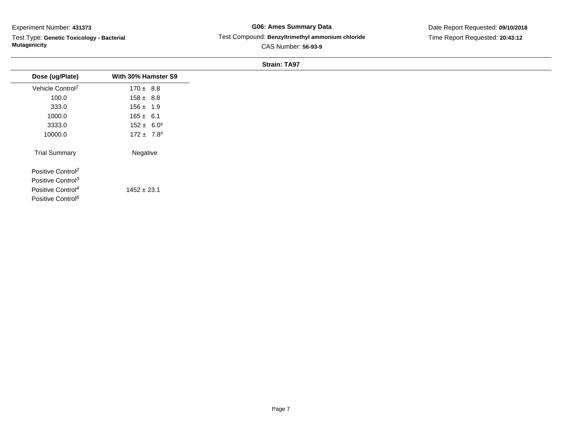Test Type: **Genetic Toxicology - Bacterial Mutagenicity**

## **G06: Ames Summary Data** Test Compound: **Benzyltrimethyl ammonium chloride**CAS Number: **56-93-9**

Date Report Requested: **09/10/2018**Time Report Requested: **20:43:12**

|                               |                     | <b>Strain: TA97</b> |  |
|-------------------------------|---------------------|---------------------|--|
| Dose (ug/Plate)               | With 30% Hamster S9 |                     |  |
| Vehicle Control <sup>1</sup>  | $170 \pm 8.8$       |                     |  |
| 100.0                         | $158 \pm 8.8$       |                     |  |
| 333.0                         | $156 \pm 1.9$       |                     |  |
| 1000.0                        | $165 \pm 6.1$       |                     |  |
| 3333.0                        | $152 \pm 6.0^s$     |                     |  |
| 10000.0                       | $172 \pm 7.8^s$     |                     |  |
| <b>Trial Summary</b>          | Negative            |                     |  |
| Positive Control <sup>2</sup> |                     |                     |  |
| Positive Control <sup>3</sup> |                     |                     |  |
| Positive Control <sup>4</sup> | $1452 \pm 23.1$     |                     |  |
| Positive Control <sup>6</sup> |                     |                     |  |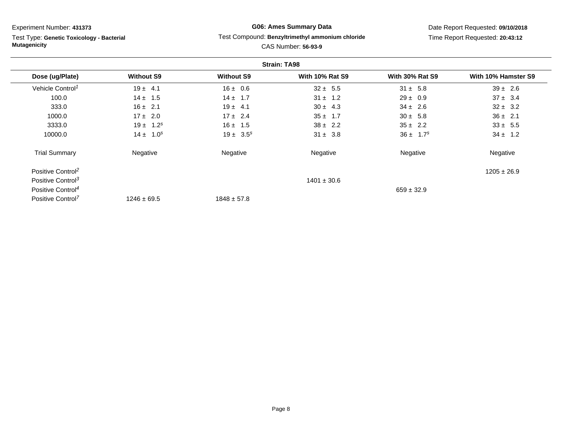Test Type: **Genetic Toxicology - Bacterial Mutagenicity**

## **G06: Ames Summary Data**Test Compound: **Benzyltrimethyl ammonium chloride**

## Date Report Requested: **09/10/2018**Time Report Requested: **20:43:12**

|                               |                   |                   | <b>Strain: TA98</b>    |                           |                     |
|-------------------------------|-------------------|-------------------|------------------------|---------------------------|---------------------|
| Dose (ug/Plate)               | <b>Without S9</b> | <b>Without S9</b> | <b>With 10% Rat S9</b> | <b>With 30% Rat S9</b>    | With 10% Hamster S9 |
| Vehicle Control <sup>1</sup>  | $19 \pm 4.1$      | $16 \pm 0.6$      | $32 \pm 5.5$           | $31 \pm 5.8$              | $39 \pm 2.6$        |
| 100.0                         | $14 \pm 1.5$      | $14 \pm 1.7$      | $31 \pm 1.2$           | $29 \pm 0.9$              | $37 \pm 3.4$        |
| 333.0                         | $16 \pm 2.1$      | $19 \pm 4.1$      | $30 \pm 4.3$           | $34 \pm 2.6$              | $32 \pm 3.2$        |
| 1000.0                        | $17 \pm 2.0$      | $17 \pm 2.4$      | $35 \pm 1.7$           | $30 \pm 5.8$              | $36 \pm 2.1$        |
| 3333.0                        | $19 \pm 1.2^s$    | $16 \pm 1.5$      | $38 \pm 2.2$           | $35 \pm 2.2$              | $33 \pm 5.5$        |
| 10000.0                       | $14 \pm 1.0^s$    | $19 \pm 3.5^s$    | $31 \pm 3.8$           | $36 \pm 1.7$ <sup>s</sup> | $34 \pm 1.2$        |
| <b>Trial Summary</b>          | Negative          | Negative          | Negative               | Negative                  | Negative            |
| Positive Control <sup>2</sup> |                   |                   |                        |                           | $1205 \pm 26.9$     |
| Positive Control <sup>3</sup> |                   |                   | $1401 \pm 30.6$        |                           |                     |
| Positive Control <sup>4</sup> |                   |                   |                        | $659 \pm 32.9$            |                     |
| Positive Control <sup>7</sup> | $1246 \pm 69.5$   | $1848 \pm 57.8$   |                        |                           |                     |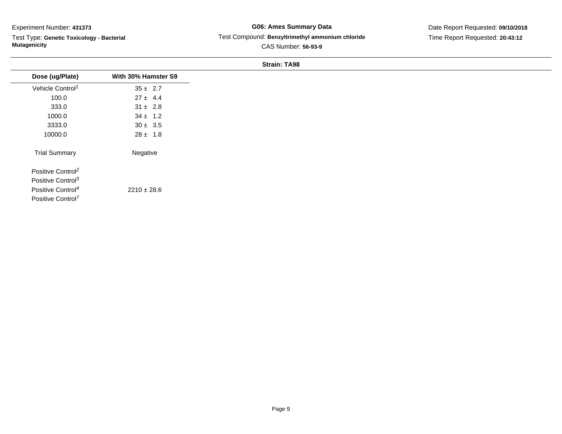Test Type: **Genetic Toxicology - Bacterial Mutagenicity**

## **G06: Ames Summary Data** Test Compound: **Benzyltrimethyl ammonium chloride**CAS Number: **56-93-9**

Date Report Requested: **09/10/2018**Time Report Requested: **20:43:12**

| Strain: 1A98                  |                     |  |  |
|-------------------------------|---------------------|--|--|
| Dose (ug/Plate)               | With 30% Hamster S9 |  |  |
| Vehicle Control <sup>1</sup>  | $35 \pm 2.7$        |  |  |
| 100.0                         | $27 \pm 4.4$        |  |  |
| 333.0                         | $31 \pm 2.8$        |  |  |
| 1000.0                        | $34 \pm 1.2$        |  |  |
| 3333.0                        | $30 \pm 3.5$        |  |  |
| 10000.0                       | $28 \pm 1.8$        |  |  |
| <b>Trial Summary</b>          | Negative            |  |  |
| Positive Control <sup>2</sup> |                     |  |  |
| Positive Control <sup>3</sup> |                     |  |  |
| Positive Control <sup>4</sup> | $2210 \pm 28.6$     |  |  |
| Positive Control <sup>7</sup> |                     |  |  |